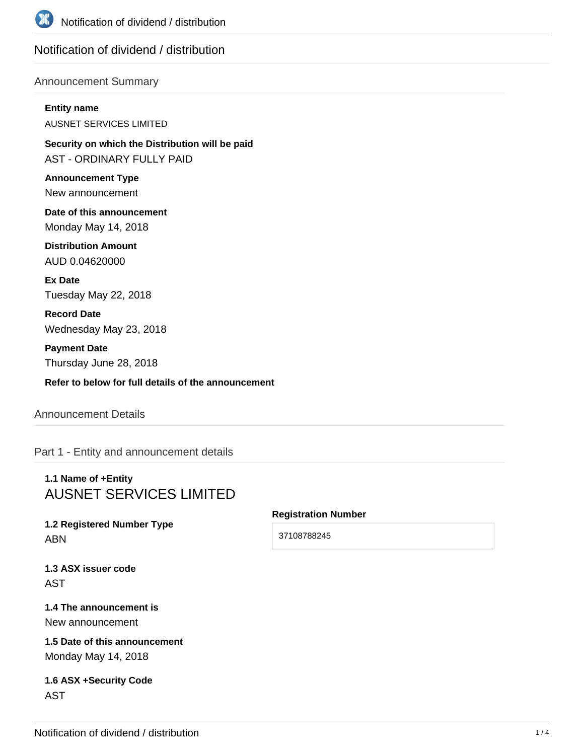

# Notification of dividend / distribution

## Announcement Summary

#### **Entity name**

AUSNET SERVICES LIMITED

**Security on which the Distribution will be paid** AST - ORDINARY FULLY PAID

**Announcement Type** New announcement

**Date of this announcement** Monday May 14, 2018

**Distribution Amount** AUD 0.04620000

**Ex Date** Tuesday May 22, 2018

**Record Date** Wednesday May 23, 2018

**Payment Date** Thursday June 28, 2018

**Refer to below for full details of the announcement**

## Announcement Details

Part 1 - Entity and announcement details

# **1.1 Name of +Entity** AUSNET SERVICES LIMITED

# **1.2 Registered Number Type** ABN

## **Registration Number**

37108788245

**1.3 ASX issuer code** AST

## **1.4 The announcement is** New announcement

**1.5 Date of this announcement** Monday May 14, 2018

## **1.6 ASX +Security Code** AST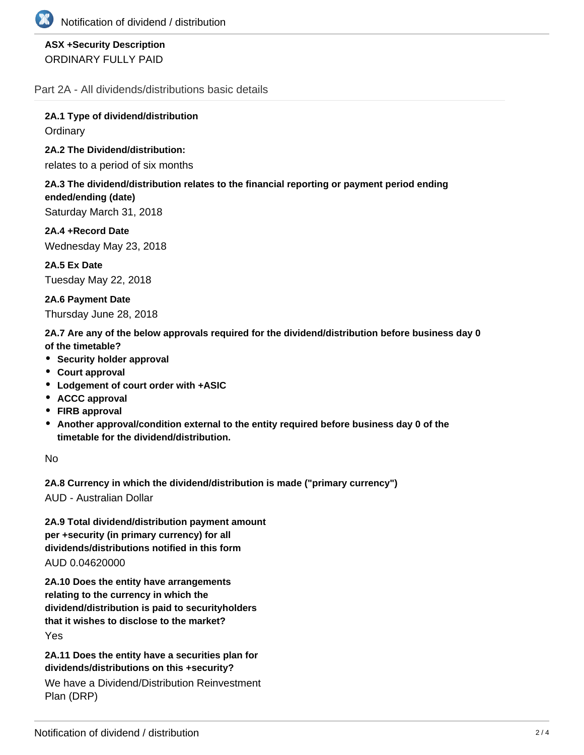

# **ASX +Security Description** ORDINARY FULLY PAID

Part 2A - All dividends/distributions basic details

**2A.1 Type of dividend/distribution Ordinary** 

**2A.2 The Dividend/distribution:**

relates to a period of six months

## **2A.3 The dividend/distribution relates to the financial reporting or payment period ending ended/ending (date)**

Saturday March 31, 2018

**2A.4 +Record Date** Wednesday May 23, 2018

**2A.5 Ex Date** Tuesday May 22, 2018

**2A.6 Payment Date** Thursday June 28, 2018

**2A.7 Are any of the below approvals required for the dividend/distribution before business day 0 of the timetable?**

- **•** Security holder approval
- **Court approval**
- **Lodgement of court order with +ASIC**
- **ACCC approval**
- **FIRB approval**
- **Another approval/condition external to the entity required before business day 0 of the timetable for the dividend/distribution.**

No

**2A.8 Currency in which the dividend/distribution is made ("primary currency")**

AUD - Australian Dollar

**2A.9 Total dividend/distribution payment amount per +security (in primary currency) for all dividends/distributions notified in this form** AUD 0.04620000

**2A.10 Does the entity have arrangements relating to the currency in which the dividend/distribution is paid to securityholders that it wishes to disclose to the market?**

Yes

**2A.11 Does the entity have a securities plan for dividends/distributions on this +security?**

We have a Dividend/Distribution Reinvestment Plan (DRP)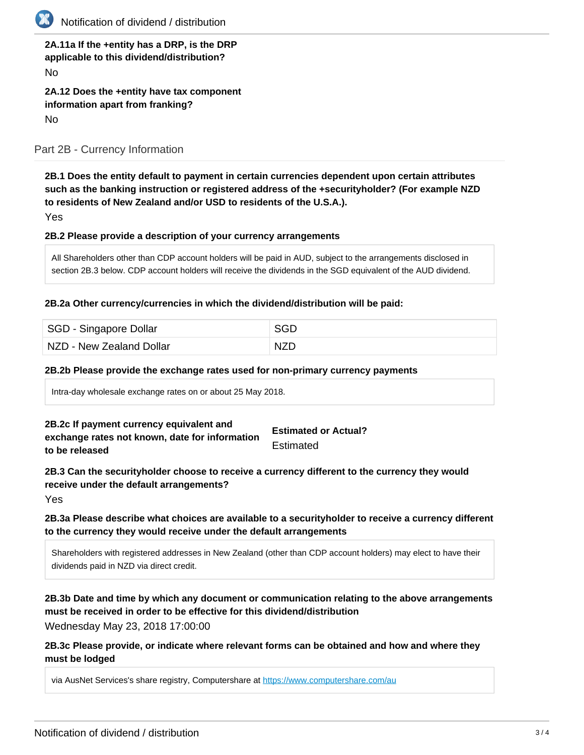

| 2A.11a If the +entity has a DRP, is the DRP |  |
|---------------------------------------------|--|
| applicable to this dividend/distribution?   |  |
| <b>No</b>                                   |  |
| 2A.12 Does the +entity have tax component   |  |
| information apart from franking?            |  |
| <b>No</b>                                   |  |

Part 2B - Currency Information

**2B.1 Does the entity default to payment in certain currencies dependent upon certain attributes such as the banking instruction or registered address of the +securityholder? (For example NZD to residents of New Zealand and/or USD to residents of the U.S.A.).**

Yes

### **2B.2 Please provide a description of your currency arrangements**

All Shareholders other than CDP account holders will be paid in AUD, subject to the arrangements disclosed in section 2B.3 below. CDP account holders will receive the dividends in the SGD equivalent of the AUD dividend.

#### **2B.2a Other currency/currencies in which the dividend/distribution will be paid:**

| SGD - Singapore Dollar   | SGD        |
|--------------------------|------------|
| NZD - New Zealand Dollar | <b>NZD</b> |

#### **2B.2b Please provide the exchange rates used for non-primary currency payments**

Intra-day wholesale exchange rates on or about 25 May 2018.

#### **2B.2c If payment currency equivalent and exchange rates not known, date for information to be released Estimated or Actual? Estimated**

**2B.3 Can the securityholder choose to receive a currency different to the currency they would receive under the default arrangements?**

Yes

## **2B.3a Please describe what choices are available to a securityholder to receive a currency different to the currency they would receive under the default arrangements**

Shareholders with registered addresses in New Zealand (other than CDP account holders) may elect to have their dividends paid in NZD via direct credit.

**2B.3b Date and time by which any document or communication relating to the above arrangements must be received in order to be effective for this dividend/distribution**

Wednesday May 23, 2018 17:00:00

**2B.3c Please provide, or indicate where relevant forms can be obtained and how and where they must be lodged**

via AusNet Services's share registry, Computershare at <https://www.computershare.com/au>